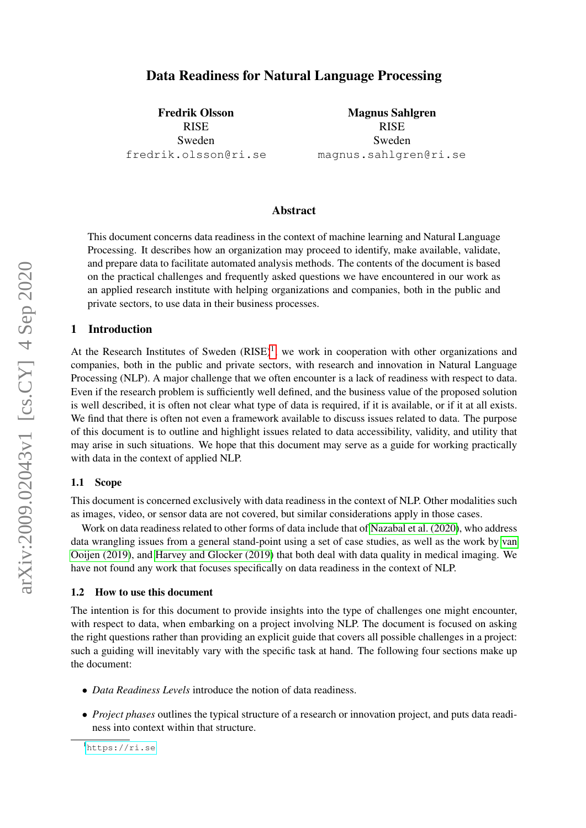# Data Readiness for Natural Language Processing

Fredrik Olsson RISE Sweden fredrik.olsson@ri.se

Magnus Sahlgren RISE Sweden magnus.sahlgren@ri.se

## Abstract

This document concerns data readiness in the context of machine learning and Natural Language Processing. It describes how an organization may proceed to identify, make available, validate, and prepare data to facilitate automated analysis methods. The contents of the document is based on the practical challenges and frequently asked questions we have encountered in our work as an applied research institute with helping organizations and companies, both in the public and private sectors, to use data in their business processes.

## 1 Introduction

At the Research Institutes of Sweden  $(RISE)^1$  $(RISE)^1$ , we work in cooperation with other organizations and companies, both in the public and private sectors, with research and innovation in Natural Language Processing (NLP). A major challenge that we often encounter is a lack of readiness with respect to data. Even if the research problem is sufficiently well defined, and the business value of the proposed solution is well described, it is often not clear what type of data is required, if it is available, or if it at all exists. We find that there is often not even a framework available to discuss issues related to data. The purpose of this document is to outline and highlight issues related to data accessibility, validity, and utility that may arise in such situations. We hope that this document may serve as a guide for working practically with data in the context of applied NLP.

#### 1.1 Scope

This document is concerned exclusively with data readiness in the context of NLP. Other modalities such as images, video, or sensor data are not covered, but similar considerations apply in those cases.

Work on data readiness related to other forms of data include that of [Nazabal et al. \(2020\)](#page-6-0), who address data wrangling issues from a general stand-point using a set of case studies, as well as the work by [van](#page-6-1) [Ooijen \(2019\)](#page-6-1), and [Harvey and Glocker \(2019\)](#page-5-0) that both deal with data quality in medical imaging. We have not found any work that focuses specifically on data readiness in the context of NLP.

#### 1.2 How to use this document

The intention is for this document to provide insights into the type of challenges one might encounter, with respect to data, when embarking on a project involving NLP. The document is focused on asking the right questions rather than providing an explicit guide that covers all possible challenges in a project: such a guiding will inevitably vary with the specific task at hand. The following four sections make up the document:

- *Data Readiness Levels* introduce the notion of data readiness.
- *Project phases* outlines the typical structure of a research or innovation project, and puts data readiness into context within that structure.

<span id="page-0-0"></span><sup>1</sup><https://ri.se>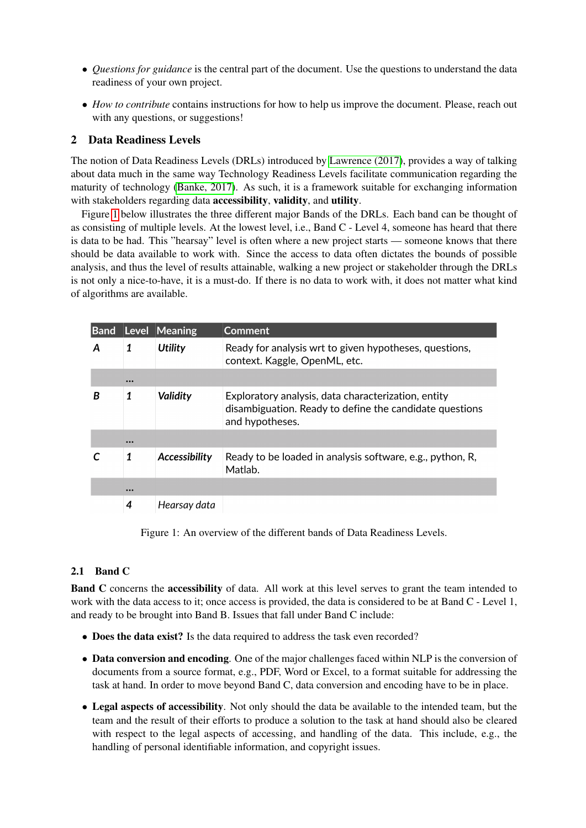- *Questions for guidance* is the central part of the document. Use the questions to understand the data readiness of your own project.
- *How to contribute* contains instructions for how to help us improve the document. Please, reach out with any questions, or suggestions!

## 2 Data Readiness Levels

The notion of Data Readiness Levels (DRLs) introduced by [Lawrence \(2017\)](#page-5-1), provides a way of talking about data much in the same way Technology Readiness Levels facilitate communication regarding the maturity of technology [\(Banke, 2017\)](#page-5-2). As such, it is a framework suitable for exchanging information with stakeholders regarding data **accessibility**, validity, and utility.

Figure [1](#page-1-0) below illustrates the three different major Bands of the DRLs. Each band can be thought of as consisting of multiple levels. At the lowest level, i.e., Band C - Level 4, someone has heard that there is data to be had. This "hearsay" level is often where a new project starts — someone knows that there should be data available to work with. Since the access to data often dictates the bounds of possible analysis, and thus the level of results attainable, walking a new project or stakeholder through the DRLs is not only a nice-to-have, it is a must-do. If there is no data to work with, it does not matter what kind of algorithms are available.

| <b>Band</b> |                         | Level Meaning  | <b>Comment</b>                                                                                                                    |
|-------------|-------------------------|----------------|-----------------------------------------------------------------------------------------------------------------------------------|
|             | 1                       | <b>Utility</b> | Ready for analysis wrt to given hypotheses, questions,<br>context. Kaggle, OpenML, etc.                                           |
|             | $\bullet\bullet\bullet$ |                |                                                                                                                                   |
| B           | 1                       | Validity       | Exploratory analysis, data characterization, entity<br>disambiguation. Ready to define the candidate questions<br>and hypotheses. |
|             |                         |                |                                                                                                                                   |
|             | 1                       | Accessibility  | Ready to be loaded in analysis software, e.g., python, R.<br>Matlab.                                                              |
|             | $\bullet\bullet\bullet$ |                |                                                                                                                                   |
|             | 4                       | Hearsay data   |                                                                                                                                   |

<span id="page-1-0"></span>Figure 1: An overview of the different bands of Data Readiness Levels.

## 2.1 Band C

Band C concerns the accessibility of data. All work at this level serves to grant the team intended to work with the data access to it; once access is provided, the data is considered to be at Band C - Level 1, and ready to be brought into Band B. Issues that fall under Band C include:

- Does the data exist? Is the data required to address the task even recorded?
- Data conversion and encoding. One of the major challenges faced within NLP is the conversion of documents from a source format, e.g., PDF, Word or Excel, to a format suitable for addressing the task at hand. In order to move beyond Band C, data conversion and encoding have to be in place.
- Legal aspects of accessibility. Not only should the data be available to the intended team, but the team and the result of their efforts to produce a solution to the task at hand should also be cleared with respect to the legal aspects of accessing, and handling of the data. This include, e.g., the handling of personal identifiable information, and copyright issues.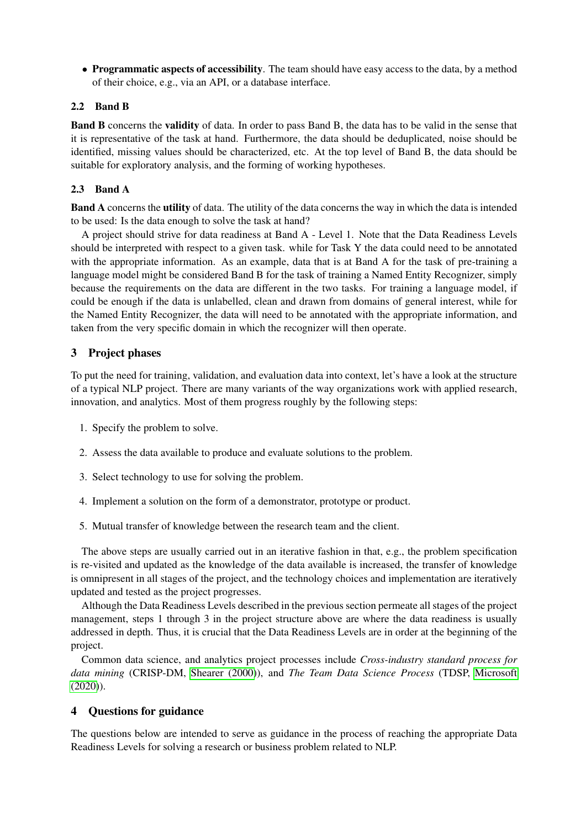• Programmatic aspects of accessibility. The team should have easy access to the data, by a method of their choice, e.g., via an API, or a database interface.

## 2.2 Band B

Band B concerns the validity of data. In order to pass Band B, the data has to be valid in the sense that it is representative of the task at hand. Furthermore, the data should be deduplicated, noise should be identified, missing values should be characterized, etc. At the top level of Band B, the data should be suitable for exploratory analysis, and the forming of working hypotheses.

# 2.3 Band A

Band A concerns the utility of data. The utility of the data concerns the way in which the data is intended to be used: Is the data enough to solve the task at hand?

A project should strive for data readiness at Band A - Level 1. Note that the Data Readiness Levels should be interpreted with respect to a given task. while for Task Y the data could need to be annotated with the appropriate information. As an example, data that is at Band A for the task of pre-training a language model might be considered Band B for the task of training a Named Entity Recognizer, simply because the requirements on the data are different in the two tasks. For training a language model, if could be enough if the data is unlabelled, clean and drawn from domains of general interest, while for the Named Entity Recognizer, the data will need to be annotated with the appropriate information, and taken from the very specific domain in which the recognizer will then operate.

# 3 Project phases

To put the need for training, validation, and evaluation data into context, let's have a look at the structure of a typical NLP project. There are many variants of the way organizations work with applied research, innovation, and analytics. Most of them progress roughly by the following steps:

- 1. Specify the problem to solve.
- 2. Assess the data available to produce and evaluate solutions to the problem.
- 3. Select technology to use for solving the problem.
- 4. Implement a solution on the form of a demonstrator, prototype or product.
- 5. Mutual transfer of knowledge between the research team and the client.

The above steps are usually carried out in an iterative fashion in that, e.g., the problem specification is re-visited and updated as the knowledge of the data available is increased, the transfer of knowledge is omnipresent in all stages of the project, and the technology choices and implementation are iteratively updated and tested as the project progresses.

Although the Data Readiness Levels described in the previous section permeate all stages of the project management, steps 1 through 3 in the project structure above are where the data readiness is usually addressed in depth. Thus, it is crucial that the Data Readiness Levels are in order at the beginning of the project.

Common data science, and analytics project processes include *Cross-industry standard process for data mining* (CRISP-DM, [Shearer \(2000\)](#page-6-2)), and *The Team Data Science Process* (TDSP, [Microsoft](#page-5-3)  $(2020)$ ).

# 4 Questions for guidance

The questions below are intended to serve as guidance in the process of reaching the appropriate Data Readiness Levels for solving a research or business problem related to NLP.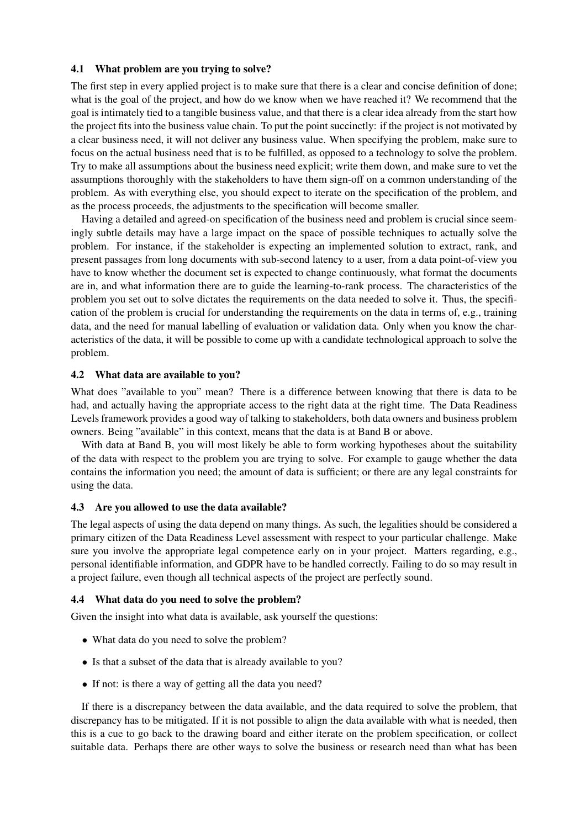## 4.1 What problem are you trying to solve?

The first step in every applied project is to make sure that there is a clear and concise definition of done; what is the goal of the project, and how do we know when we have reached it? We recommend that the goal is intimately tied to a tangible business value, and that there is a clear idea already from the start how the project fits into the business value chain. To put the point succinctly: if the project is not motivated by a clear business need, it will not deliver any business value. When specifying the problem, make sure to focus on the actual business need that is to be fulfilled, as opposed to a technology to solve the problem. Try to make all assumptions about the business need explicit; write them down, and make sure to vet the assumptions thoroughly with the stakeholders to have them sign-off on a common understanding of the problem. As with everything else, you should expect to iterate on the specification of the problem, and as the process proceeds, the adjustments to the specification will become smaller.

Having a detailed and agreed-on specification of the business need and problem is crucial since seemingly subtle details may have a large impact on the space of possible techniques to actually solve the problem. For instance, if the stakeholder is expecting an implemented solution to extract, rank, and present passages from long documents with sub-second latency to a user, from a data point-of-view you have to know whether the document set is expected to change continuously, what format the documents are in, and what information there are to guide the learning-to-rank process. The characteristics of the problem you set out to solve dictates the requirements on the data needed to solve it. Thus, the specification of the problem is crucial for understanding the requirements on the data in terms of, e.g., training data, and the need for manual labelling of evaluation or validation data. Only when you know the characteristics of the data, it will be possible to come up with a candidate technological approach to solve the problem.

### 4.2 What data are available to you?

What does "available to you" mean? There is a difference between knowing that there is data to be had, and actually having the appropriate access to the right data at the right time. The Data Readiness Levels framework provides a good way of talking to stakeholders, both data owners and business problem owners. Being "available" in this context, means that the data is at Band B or above.

With data at Band B, you will most likely be able to form working hypotheses about the suitability of the data with respect to the problem you are trying to solve. For example to gauge whether the data contains the information you need; the amount of data is sufficient; or there are any legal constraints for using the data.

### 4.3 Are you allowed to use the data available?

The legal aspects of using the data depend on many things. As such, the legalities should be considered a primary citizen of the Data Readiness Level assessment with respect to your particular challenge. Make sure you involve the appropriate legal competence early on in your project. Matters regarding, e.g., personal identifiable information, and GDPR have to be handled correctly. Failing to do so may result in a project failure, even though all technical aspects of the project are perfectly sound.

### 4.4 What data do you need to solve the problem?

Given the insight into what data is available, ask yourself the questions:

- What data do you need to solve the problem?
- Is that a subset of the data that is already available to you?
- If not: is there a way of getting all the data you need?

If there is a discrepancy between the data available, and the data required to solve the problem, that discrepancy has to be mitigated. If it is not possible to align the data available with what is needed, then this is a cue to go back to the drawing board and either iterate on the problem specification, or collect suitable data. Perhaps there are other ways to solve the business or research need than what has been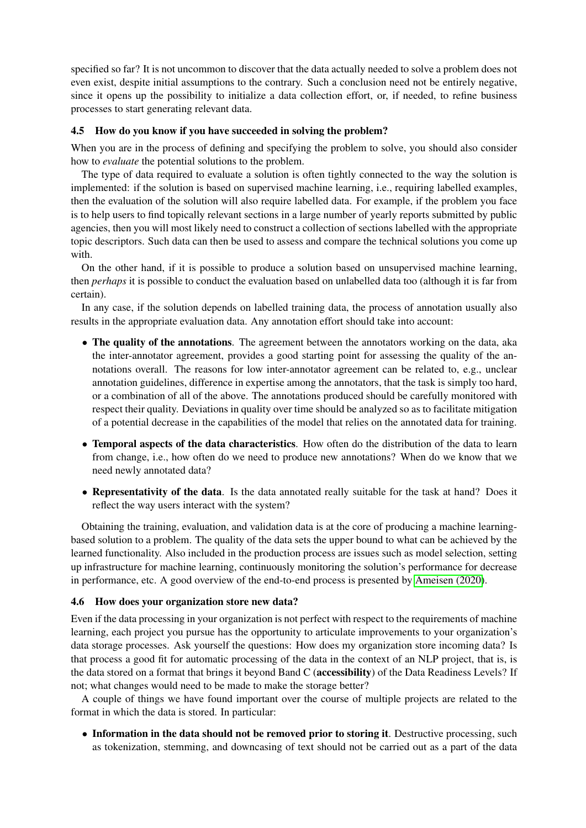specified so far? It is not uncommon to discover that the data actually needed to solve a problem does not even exist, despite initial assumptions to the contrary. Such a conclusion need not be entirely negative, since it opens up the possibility to initialize a data collection effort, or, if needed, to refine business processes to start generating relevant data.

## 4.5 How do you know if you have succeeded in solving the problem?

When you are in the process of defining and specifying the problem to solve, you should also consider how to *evaluate* the potential solutions to the problem.

The type of data required to evaluate a solution is often tightly connected to the way the solution is implemented: if the solution is based on supervised machine learning, i.e., requiring labelled examples, then the evaluation of the solution will also require labelled data. For example, if the problem you face is to help users to find topically relevant sections in a large number of yearly reports submitted by public agencies, then you will most likely need to construct a collection of sections labelled with the appropriate topic descriptors. Such data can then be used to assess and compare the technical solutions you come up with.

On the other hand, if it is possible to produce a solution based on unsupervised machine learning, then *perhaps* it is possible to conduct the evaluation based on unlabelled data too (although it is far from certain).

In any case, if the solution depends on labelled training data, the process of annotation usually also results in the appropriate evaluation data. Any annotation effort should take into account:

- The quality of the annotations. The agreement between the annotators working on the data, aka the inter-annotator agreement, provides a good starting point for assessing the quality of the annotations overall. The reasons for low inter-annotator agreement can be related to, e.g., unclear annotation guidelines, difference in expertise among the annotators, that the task is simply too hard, or a combination of all of the above. The annotations produced should be carefully monitored with respect their quality. Deviations in quality over time should be analyzed so as to facilitate mitigation of a potential decrease in the capabilities of the model that relies on the annotated data for training.
- Temporal aspects of the data characteristics. How often do the distribution of the data to learn from change, i.e., how often do we need to produce new annotations? When do we know that we need newly annotated data?
- Representativity of the data. Is the data annotated really suitable for the task at hand? Does it reflect the way users interact with the system?

Obtaining the training, evaluation, and validation data is at the core of producing a machine learningbased solution to a problem. The quality of the data sets the upper bound to what can be achieved by the learned functionality. Also included in the production process are issues such as model selection, setting up infrastructure for machine learning, continuously monitoring the solution's performance for decrease in performance, etc. A good overview of the end-to-end process is presented by [Ameisen \(2020\)](#page-5-4).

## 4.6 How does your organization store new data?

Even if the data processing in your organization is not perfect with respect to the requirements of machine learning, each project you pursue has the opportunity to articulate improvements to your organization's data storage processes. Ask yourself the questions: How does my organization store incoming data? Is that process a good fit for automatic processing of the data in the context of an NLP project, that is, is the data stored on a format that brings it beyond Band C (accessibility) of the Data Readiness Levels? If not; what changes would need to be made to make the storage better?

A couple of things we have found important over the course of multiple projects are related to the format in which the data is stored. In particular:

• Information in the data should not be removed prior to storing it. Destructive processing, such as tokenization, stemming, and downcasing of text should not be carried out as a part of the data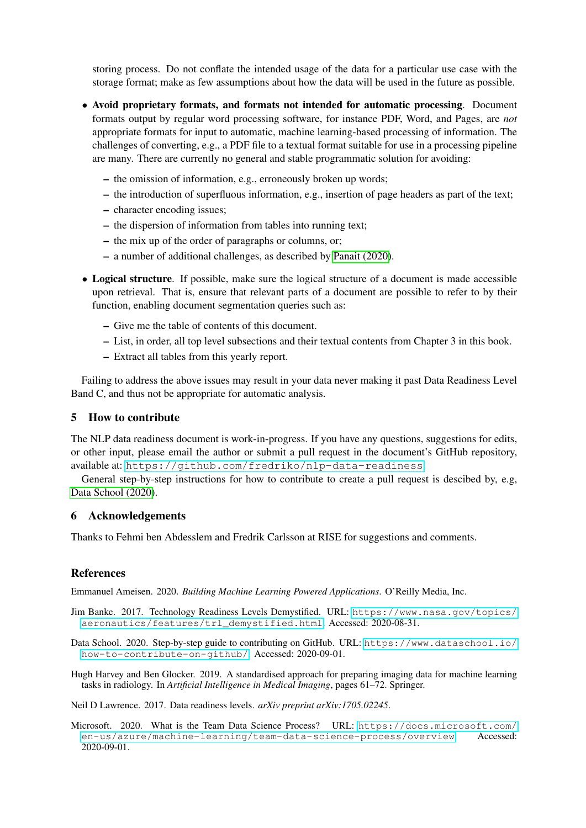storing process. Do not conflate the intended usage of the data for a particular use case with the storage format; make as few assumptions about how the data will be used in the future as possible.

- Avoid proprietary formats, and formats not intended for automatic processing. Document formats output by regular word processing software, for instance PDF, Word, and Pages, are *not* appropriate formats for input to automatic, machine learning-based processing of information. The challenges of converting, e.g., a PDF file to a textual format suitable for use in a processing pipeline are many. There are currently no general and stable programmatic solution for avoiding:
	- the omission of information, e.g., erroneously broken up words;
	- the introduction of superfluous information, e.g., insertion of page headers as part of the text;
	- character encoding issues;
	- the dispersion of information from tables into running text;
	- the mix up of the order of paragraphs or columns, or;
	- a number of additional challenges, as described by [Panait \(2020\)](#page-6-3).
- Logical structure. If possible, make sure the logical structure of a document is made accessible upon retrieval. That is, ensure that relevant parts of a document are possible to refer to by their function, enabling document segmentation queries such as:
	- Give me the table of contents of this document.
	- List, in order, all top level subsections and their textual contents from Chapter 3 in this book.
	- Extract all tables from this yearly report.

Failing to address the above issues may result in your data never making it past Data Readiness Level Band C, and thus not be appropriate for automatic analysis.

## 5 How to contribute

The NLP data readiness document is work-in-progress. If you have any questions, suggestions for edits, or other input, please email the author or submit a pull request in the document's GitHub repository, available at: <https://github.com/fredriko/nlp-data-readiness>.

General step-by-step instructions for how to contribute to create a pull request is descibed by, e.g, [Data School \(2020\)](#page-5-5).

#### 6 Acknowledgements

Thanks to Fehmi ben Abdesslem and Fredrik Carlsson at RISE for suggestions and comments.

#### References

<span id="page-5-4"></span>Emmanuel Ameisen. 2020. *Building Machine Learning Powered Applications*. O'Reilly Media, Inc.

- <span id="page-5-2"></span>Jim Banke. 2017. Technology Readiness Levels Demystified. URL: [https://www.nasa.gov/topics/](https://www.nasa.gov/topics/aeronautics/features/trl_demystified.html) [aeronautics/features/trl\\_demystified.html](https://www.nasa.gov/topics/aeronautics/features/trl_demystified.html). Accessed: 2020-08-31.
- <span id="page-5-5"></span>Data School. 2020. Step-by-step guide to contributing on GitHub. URL: [https://www.dataschool.io/](https://www.dataschool.io/how-to-contribute-on-github/) [how-to-contribute-on-github/](https://www.dataschool.io/how-to-contribute-on-github/). Accessed: 2020-09-01.
- <span id="page-5-0"></span>Hugh Harvey and Ben Glocker. 2019. A standardised approach for preparing imaging data for machine learning tasks in radiology. In *Artificial Intelligence in Medical Imaging*, pages 61–72. Springer.

<span id="page-5-1"></span>Neil D Lawrence. 2017. Data readiness levels. *arXiv preprint arXiv:1705.02245*.

<span id="page-5-3"></span>Microsoft. 2020. What is the Team Data Science Process? URL: [https://docs.microsoft.com/](https://docs.microsoft.com/en-us/azure/machine-learning/team-data-science-process/overview) [en-us/azure/machine-learning/team-data-science-process/overview](https://docs.microsoft.com/en-us/azure/machine-learning/team-data-science-process/overview). Accessed: 2020-09-01.